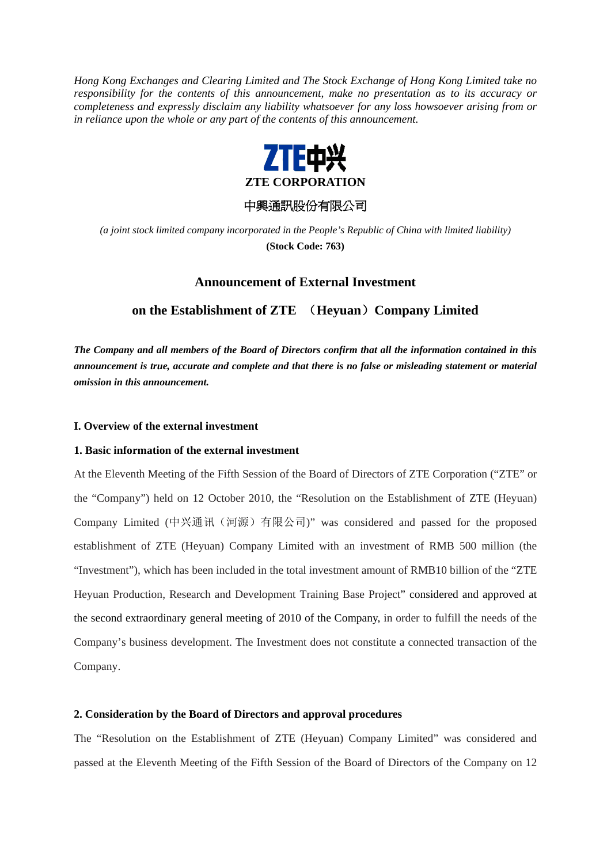*Hong Kong Exchanges and Clearing Limited and The Stock Exchange of Hong Kong Limited take no responsibility for the contents of this announcement, make no presentation as to its accuracy or completeness and expressly disclaim any liability whatsoever for any loss howsoever arising from or in reliance upon the whole or any part of the contents of this announcement.* 



## 中興通訊股份有限公司

*(a joint stock limited company incorporated in the People's Republic of China with limited liability)*  **(Stock Code: 763)** 

# **Announcement of External Investment**

**on the Establishment of ZTE** (**Heyuan**)**Company Limited** 

*The Company and all members of the Board of Directors confirm that all the information contained in this announcement is true, accurate and complete and that there is no false or misleading statement or material omission in this announcement.* 

#### **I. Overview of the external investment**

## **1. Basic information of the external investment**

At the Eleventh Meeting of the Fifth Session of the Board of Directors of ZTE Corporation ("ZTE" or the "Company") held on 12 October 2010, the "Resolution on the Establishment of ZTE (Heyuan) Company Limited (中兴通讯(河源)有限公司)" was considered and passed for the proposed establishment of ZTE (Heyuan) Company Limited with an investment of RMB 500 million (the "Investment"), which has been included in the total investment amount of RMB10 billion of the "ZTE Heyuan Production, Research and Development Training Base Project" considered and approved at the second extraordinary general meeting of 2010 of the Company, in order to fulfill the needs of the Company's business development. The Investment does not constitute a connected transaction of the Company.

### **2. Consideration by the Board of Directors and approval procedures**

The "Resolution on the Establishment of ZTE (Heyuan) Company Limited" was considered and passed at the Eleventh Meeting of the Fifth Session of the Board of Directors of the Company on 12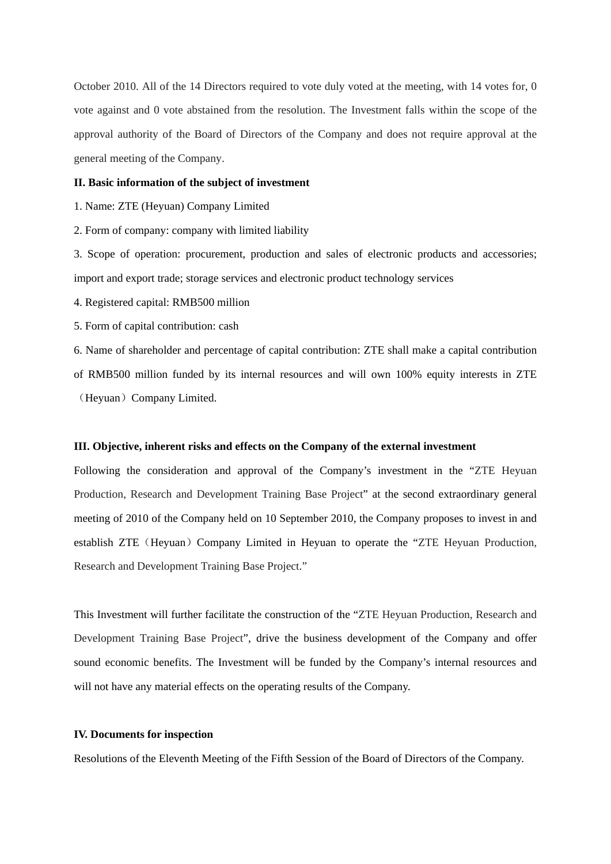October 2010. All of the 14 Directors required to vote duly voted at the meeting, with 14 votes for, 0 vote against and 0 vote abstained from the resolution. The Investment falls within the scope of the approval authority of the Board of Directors of the Company and does not require approval at the general meeting of the Company.

### **II. Basic information of the subject of investment**

1. Name: ZTE (Heyuan) Company Limited

2. Form of company: company with limited liability

3. Scope of operation: procurement, production and sales of electronic products and accessories; import and export trade; storage services and electronic product technology services

4. Registered capital: RMB500 million

5. Form of capital contribution: cash

6. Name of shareholder and percentage of capital contribution: ZTE shall make a capital contribution of RMB500 million funded by its internal resources and will own 100% equity interests in ZTE (Heyuan) Company Limited.

## **III. Objective, inherent risks and effects on the Company of the external investment**

Following the consideration and approval of the Company's investment in the "ZTE Heyuan Production, Research and Development Training Base Project" at the second extraordinary general meeting of 2010 of the Company held on 10 September 2010, the Company proposes to invest in and establish ZTE (Heyuan) Company Limited in Heyuan to operate the "ZTE Heyuan Production, Research and Development Training Base Project."

This Investment will further facilitate the construction of the "ZTE Heyuan Production, Research and Development Training Base Project", drive the business development of the Company and offer sound economic benefits. The Investment will be funded by the Company's internal resources and will not have any material effects on the operating results of the Company.

## **IV. Documents for inspection**

Resolutions of the Eleventh Meeting of the Fifth Session of the Board of Directors of the Company.